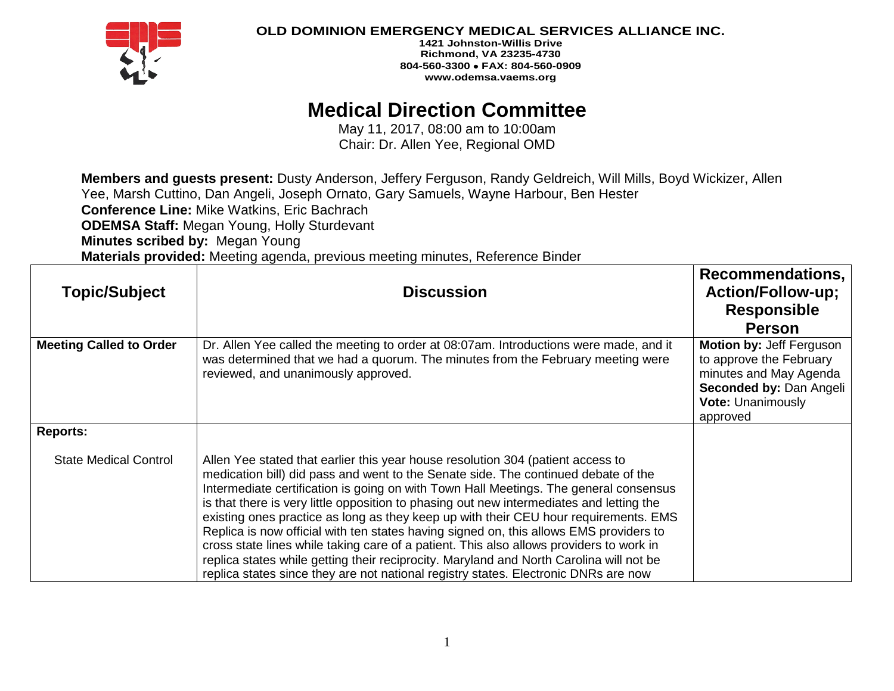

**1421 Johnston-Willis Drive Richmond, VA 23235-4730 804-560-3300** • **FAX: 804-560-0909 www.odemsa.vaems.org**

# **Medical Direction Committee**

May 11, 2017, 08:00 am to 10:00am Chair: Dr. Allen Yee, Regional OMD

**Members and guests present:** Dusty Anderson, Jeffery Ferguson, Randy Geldreich, Will Mills, Boyd Wickizer, Allen Yee, Marsh Cuttino, Dan Angeli, Joseph Ornato, Gary Samuels, Wayne Harbour, Ben Hester **Conference Line:** Mike Watkins, Eric Bachrach **ODEMSA Staff:** Megan Young, Holly Sturdevant **Minutes scribed by:** Megan Young **Materials provided:** Meeting agenda, previous meeting minutes, Reference Binder

| <b>Topic/Subject</b>           | <b>Discussion</b>                                                                                                                                                                                                                                                                                                                                                                                                                                                                                                                                                                                                                                                                                                                                                                                                         | Recommendations,<br><b>Action/Follow-up;</b><br><b>Responsible</b><br><b>Person</b>                                                                     |
|--------------------------------|---------------------------------------------------------------------------------------------------------------------------------------------------------------------------------------------------------------------------------------------------------------------------------------------------------------------------------------------------------------------------------------------------------------------------------------------------------------------------------------------------------------------------------------------------------------------------------------------------------------------------------------------------------------------------------------------------------------------------------------------------------------------------------------------------------------------------|---------------------------------------------------------------------------------------------------------------------------------------------------------|
| <b>Meeting Called to Order</b> | Dr. Allen Yee called the meeting to order at 08:07am. Introductions were made, and it<br>was determined that we had a quorum. The minutes from the February meeting were<br>reviewed, and unanimously approved.                                                                                                                                                                                                                                                                                                                                                                                                                                                                                                                                                                                                           | <b>Motion by: Jeff Ferguson</b><br>to approve the February<br>minutes and May Agenda<br>Seconded by: Dan Angeli<br><b>Vote: Unanimously</b><br>approved |
| <b>Reports:</b>                |                                                                                                                                                                                                                                                                                                                                                                                                                                                                                                                                                                                                                                                                                                                                                                                                                           |                                                                                                                                                         |
| <b>State Medical Control</b>   | Allen Yee stated that earlier this year house resolution 304 (patient access to<br>medication bill) did pass and went to the Senate side. The continued debate of the<br>Intermediate certification is going on with Town Hall Meetings. The general consensus<br>is that there is very little opposition to phasing out new intermediates and letting the<br>existing ones practice as long as they keep up with their CEU hour requirements. EMS<br>Replica is now official with ten states having signed on, this allows EMS providers to<br>cross state lines while taking care of a patient. This also allows providers to work in<br>replica states while getting their reciprocity. Maryland and North Carolina will not be<br>replica states since they are not national registry states. Electronic DNRs are now |                                                                                                                                                         |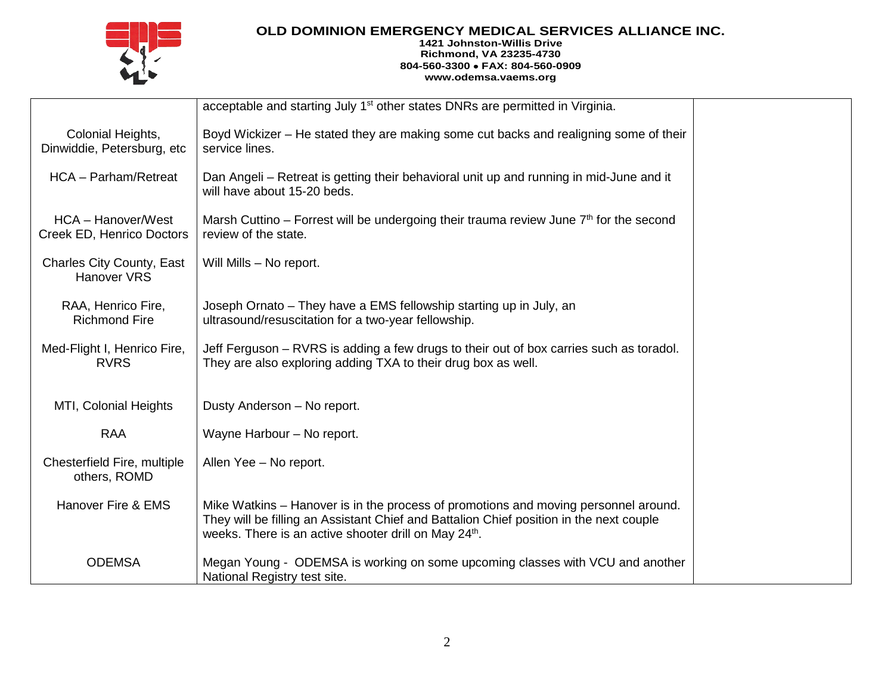

#### **1421 Johnston-Willis Drive Richmond, VA 23235-4730 804-560-3300** • **FAX: 804-560-0909 www.odemsa.vaems.org**

|                                                 | acceptable and starting July 1 <sup>st</sup> other states DNRs are permitted in Virginia.                                                                                                                                                           |  |
|-------------------------------------------------|-----------------------------------------------------------------------------------------------------------------------------------------------------------------------------------------------------------------------------------------------------|--|
| Colonial Heights,<br>Dinwiddie, Petersburg, etc | Boyd Wickizer – He stated they are making some cut backs and realigning some of their<br>service lines.                                                                                                                                             |  |
| HCA - Parham/Retreat                            | Dan Angeli – Retreat is getting their behavioral unit up and running in mid-June and it<br>will have about 15-20 beds.                                                                                                                              |  |
| HCA - Hanover/West<br>Creek ED, Henrico Doctors | Marsh Cuttino – Forrest will be undergoing their trauma review June $7th$ for the second<br>review of the state.                                                                                                                                    |  |
| <b>Charles City County, East</b><br>Hanover VRS | Will Mills - No report.                                                                                                                                                                                                                             |  |
| RAA, Henrico Fire,<br><b>Richmond Fire</b>      | Joseph Ornato – They have a EMS fellowship starting up in July, an<br>ultrasound/resuscitation for a two-year fellowship.                                                                                                                           |  |
| Med-Flight I, Henrico Fire,<br><b>RVRS</b>      | Jeff Ferguson – RVRS is adding a few drugs to their out of box carries such as toradol.<br>They are also exploring adding TXA to their drug box as well.                                                                                            |  |
| MTI, Colonial Heights                           | Dusty Anderson - No report.                                                                                                                                                                                                                         |  |
| <b>RAA</b>                                      | Wayne Harbour - No report.                                                                                                                                                                                                                          |  |
| Chesterfield Fire, multiple<br>others, ROMD     | Allen Yee - No report.                                                                                                                                                                                                                              |  |
| Hanover Fire & EMS                              | Mike Watkins – Hanover is in the process of promotions and moving personnel around.<br>They will be filling an Assistant Chief and Battalion Chief position in the next couple<br>weeks. There is an active shooter drill on May 24 <sup>th</sup> . |  |
| <b>ODEMSA</b>                                   | Megan Young - ODEMSA is working on some upcoming classes with VCU and another<br>National Registry test site.                                                                                                                                       |  |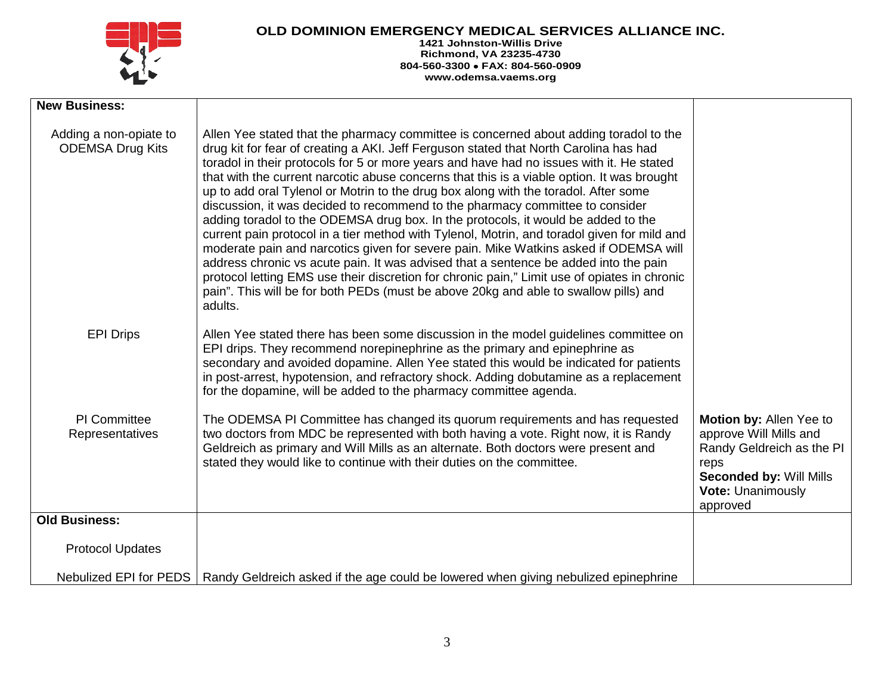

**1421 Johnston-Willis Drive Richmond, VA 23235-4730 804-560-3300** • **FAX: 804-560-0909 www.odemsa.vaems.org**

| <b>New Business:</b>                              |                                                                                                                                                                                                                                                                                                                                                                                                                                                                                                                                                                                                                                                                                                                                                                                                                                                                                                                                                                                                                                                                                                                         |                                                                                                                                                                  |
|---------------------------------------------------|-------------------------------------------------------------------------------------------------------------------------------------------------------------------------------------------------------------------------------------------------------------------------------------------------------------------------------------------------------------------------------------------------------------------------------------------------------------------------------------------------------------------------------------------------------------------------------------------------------------------------------------------------------------------------------------------------------------------------------------------------------------------------------------------------------------------------------------------------------------------------------------------------------------------------------------------------------------------------------------------------------------------------------------------------------------------------------------------------------------------------|------------------------------------------------------------------------------------------------------------------------------------------------------------------|
| Adding a non-opiate to<br><b>ODEMSA Drug Kits</b> | Allen Yee stated that the pharmacy committee is concerned about adding toradol to the<br>drug kit for fear of creating a AKI. Jeff Ferguson stated that North Carolina has had<br>toradol in their protocols for 5 or more years and have had no issues with it. He stated<br>that with the current narcotic abuse concerns that this is a viable option. It was brought<br>up to add oral Tylenol or Motrin to the drug box along with the toradol. After some<br>discussion, it was decided to recommend to the pharmacy committee to consider<br>adding toradol to the ODEMSA drug box. In the protocols, it would be added to the<br>current pain protocol in a tier method with Tylenol, Motrin, and toradol given for mild and<br>moderate pain and narcotics given for severe pain. Mike Watkins asked if ODEMSA will<br>address chronic vs acute pain. It was advised that a sentence be added into the pain<br>protocol letting EMS use their discretion for chronic pain," Limit use of opiates in chronic<br>pain". This will be for both PEDs (must be above 20kg and able to swallow pills) and<br>adults. |                                                                                                                                                                  |
| <b>EPI Drips</b>                                  | Allen Yee stated there has been some discussion in the model guidelines committee on<br>EPI drips. They recommend norepinephrine as the primary and epinephrine as<br>secondary and avoided dopamine. Allen Yee stated this would be indicated for patients<br>in post-arrest, hypotension, and refractory shock. Adding dobutamine as a replacement<br>for the dopamine, will be added to the pharmacy committee agenda.                                                                                                                                                                                                                                                                                                                                                                                                                                                                                                                                                                                                                                                                                               |                                                                                                                                                                  |
| <b>PI</b> Committee<br>Representatives            | The ODEMSA PI Committee has changed its quorum requirements and has requested<br>two doctors from MDC be represented with both having a vote. Right now, it is Randy<br>Geldreich as primary and Will Mills as an alternate. Both doctors were present and<br>stated they would like to continue with their duties on the committee.                                                                                                                                                                                                                                                                                                                                                                                                                                                                                                                                                                                                                                                                                                                                                                                    | Motion by: Allen Yee to<br>approve Will Mills and<br>Randy Geldreich as the PI<br>reps<br><b>Seconded by: Will Mills</b><br><b>Vote: Unanimously</b><br>approved |
| <b>Old Business:</b>                              |                                                                                                                                                                                                                                                                                                                                                                                                                                                                                                                                                                                                                                                                                                                                                                                                                                                                                                                                                                                                                                                                                                                         |                                                                                                                                                                  |
| <b>Protocol Updates</b>                           |                                                                                                                                                                                                                                                                                                                                                                                                                                                                                                                                                                                                                                                                                                                                                                                                                                                                                                                                                                                                                                                                                                                         |                                                                                                                                                                  |
| Nebulized EPI for PEDS                            | Randy Geldreich asked if the age could be lowered when giving nebulized epinephrine                                                                                                                                                                                                                                                                                                                                                                                                                                                                                                                                                                                                                                                                                                                                                                                                                                                                                                                                                                                                                                     |                                                                                                                                                                  |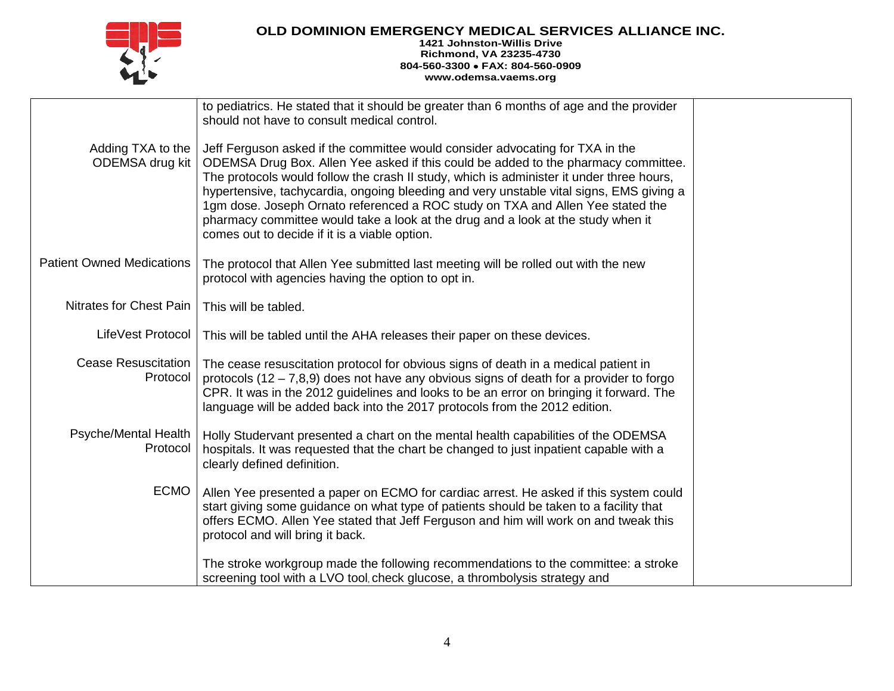

#### **1421 Johnston-Willis Drive Richmond, VA 23235-4730 804-560-3300** • **FAX: 804-560-0909 www.odemsa.vaems.org**

|                                        | to pediatrics. He stated that it should be greater than 6 months of age and the provider<br>should not have to consult medical control.                                                                                                                                                                                                                                                                                                                                                                                                                                           |  |
|----------------------------------------|-----------------------------------------------------------------------------------------------------------------------------------------------------------------------------------------------------------------------------------------------------------------------------------------------------------------------------------------------------------------------------------------------------------------------------------------------------------------------------------------------------------------------------------------------------------------------------------|--|
| Adding TXA to the<br>ODEMSA drug kit   | Jeff Ferguson asked if the committee would consider advocating for TXA in the<br>ODEMSA Drug Box. Allen Yee asked if this could be added to the pharmacy committee.<br>The protocols would follow the crash II study, which is administer it under three hours,<br>hypertensive, tachycardia, ongoing bleeding and very unstable vital signs, EMS giving a<br>1gm dose. Joseph Ornato referenced a ROC study on TXA and Allen Yee stated the<br>pharmacy committee would take a look at the drug and a look at the study when it<br>comes out to decide if it is a viable option. |  |
| <b>Patient Owned Medications</b>       | The protocol that Allen Yee submitted last meeting will be rolled out with the new<br>protocol with agencies having the option to opt in.                                                                                                                                                                                                                                                                                                                                                                                                                                         |  |
| Nitrates for Chest Pain                | This will be tabled.                                                                                                                                                                                                                                                                                                                                                                                                                                                                                                                                                              |  |
| LifeVest Protocol                      | This will be tabled until the AHA releases their paper on these devices.                                                                                                                                                                                                                                                                                                                                                                                                                                                                                                          |  |
| <b>Cease Resuscitation</b><br>Protocol | The cease resuscitation protocol for obvious signs of death in a medical patient in<br>protocols $(12 - 7,8,9)$ does not have any obvious signs of death for a provider to forgo<br>CPR. It was in the 2012 guidelines and looks to be an error on bringing it forward. The<br>language will be added back into the 2017 protocols from the 2012 edition.                                                                                                                                                                                                                         |  |
| Psyche/Mental Health<br>Protocol       | Holly Studervant presented a chart on the mental health capabilities of the ODEMSA<br>hospitals. It was requested that the chart be changed to just inpatient capable with a<br>clearly defined definition.                                                                                                                                                                                                                                                                                                                                                                       |  |
| <b>ECMO</b>                            | Allen Yee presented a paper on ECMO for cardiac arrest. He asked if this system could<br>start giving some guidance on what type of patients should be taken to a facility that<br>offers ECMO. Allen Yee stated that Jeff Ferguson and him will work on and tweak this<br>protocol and will bring it back.                                                                                                                                                                                                                                                                       |  |
|                                        | The stroke workgroup made the following recommendations to the committee: a stroke<br>screening tool with a LVO tool, check glucose, a thrombolysis strategy and                                                                                                                                                                                                                                                                                                                                                                                                                  |  |